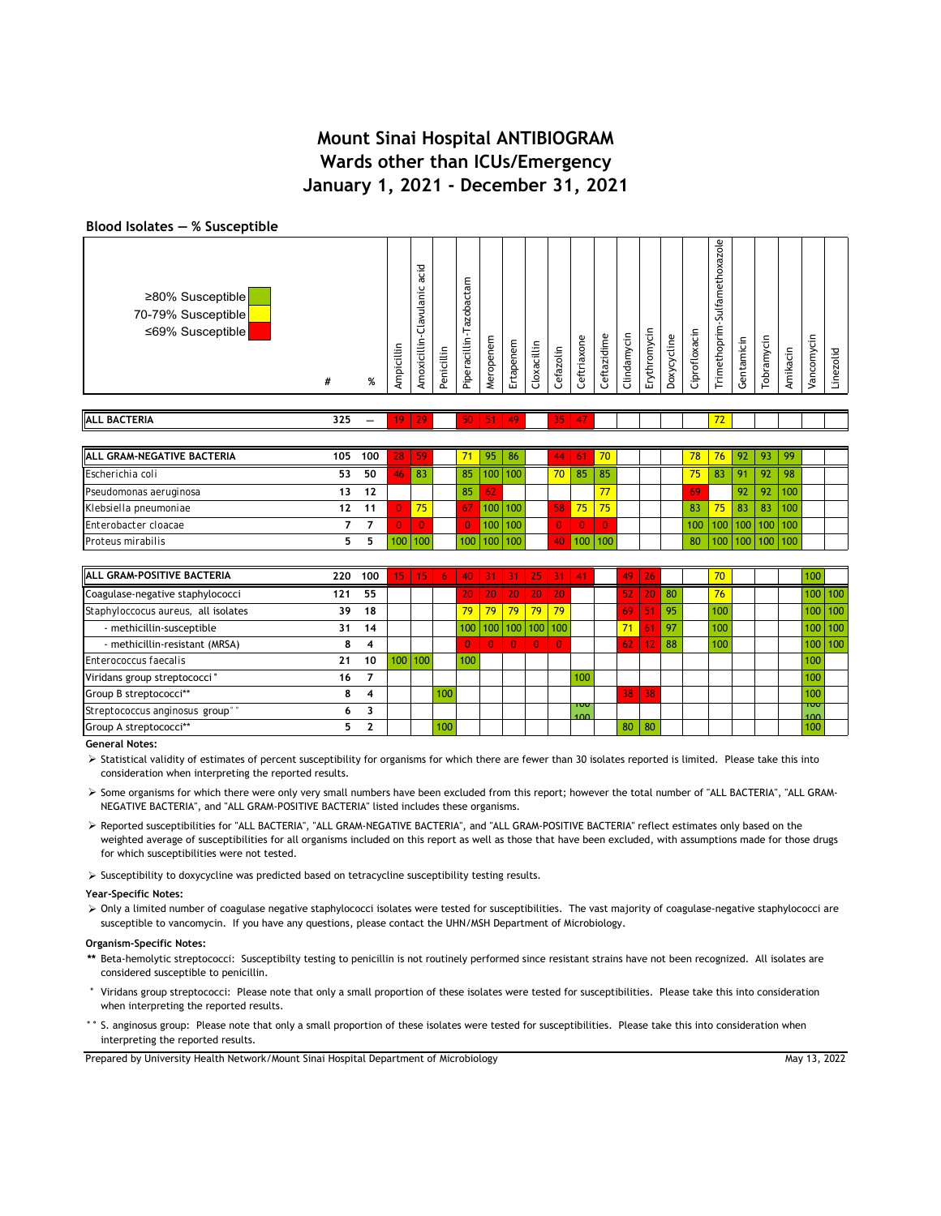### **Blood Isolates ― % Susceptible**

| ≥80% Susceptible<br>70-79% Susceptible<br>≤69% Susceptible | # | % | Ĕ | ೪<br>ں.<br>ā<br>Б<br>ਨੇ<br>ں<br>Amoxicillin | Penicillin | ε<br>ത<br>↵<br>obac<br>Ñ<br>Piperacillin | Meropenem | Ertapenem | Cloxacillin | Cefazolin | eftriaxone<br>O | Ceftazidime | Clindamycin | Erythromycin | Doxycycline | Ciprofloxacin | -Sulfamethoxazole<br>Trimethoprim | Gentamicin | obramycin | Amikacin | ⊂<br>/ancomyci | Linezolid |
|------------------------------------------------------------|---|---|---|---------------------------------------------|------------|------------------------------------------|-----------|-----------|-------------|-----------|-----------------|-------------|-------------|--------------|-------------|---------------|-----------------------------------|------------|-----------|----------|----------------|-----------|
|                                                            |   |   |   | 고                                           |            |                                          |           |           |             |           |                 |             |             |              |             |               |                                   |            |           |          |                |           |

| IALL GRAM-NEGATIVE BACTERIA | 105 | 100 | 28 | 59  | 71  | 95      | 86      | 44           | -61 | 70       |  | 78               | 76  | 92              | - 93    | 99               |  |
|-----------------------------|-----|-----|----|-----|-----|---------|---------|--------------|-----|----------|--|------------------|-----|-----------------|---------|------------------|--|
| Escherichia coli            | 53  | 50  | ю  | 83  | 85  |         | 100 100 | $70^{\circ}$ | 85  | 85       |  | 75               | 83  | 91              | -92     | 98               |  |
| Pseudomonas aeruginosa      | 13  | 12  |    |     | 85  | 62      |         |              |     | 77       |  | 69               |     | 92              | 92      | 100              |  |
| Klebsiella pneumoniae       |     | 11  |    | 75  | 767 | 100 100 |         | 58           | 75  | 75       |  | 83               | 75  | 83              | 83      | 100 <sub>1</sub> |  |
| Enterobacter cloacae        |     |     |    |     |     |         | 100 100 |              |     | $\Omega$ |  | 100 <sup>1</sup> |     | 100 100 100 100 |         |                  |  |
| Proteus mirabilis           |     |     |    | 100 |     |         | 100 100 |              | 100 |          |  | 80 <sup>1</sup>  | 100 |                 | 100 100 |                  |  |

| <b>ALL GRAM-POSITIVE BACTERIA</b>           | 220 | 100 | 15 <sub>1</sub> | 15 <sub>1</sub> | $-6$ $-1$ |     |                 |                 | 40 31 31 25         | $-31$          | 41         | 49     | 26              |    | 70 <sup>°</sup> |  | 100       |             |
|---------------------------------------------|-----|-----|-----------------|-----------------|-----------|-----|-----------------|-----------------|---------------------|----------------|------------|--------|-----------------|----|-----------------|--|-----------|-------------|
| Coagulase-negative staphylococci            | 121 | 55  |                 |                 |           | 20  | 20 <sup>2</sup> | 20 <sub>1</sub> | 20                  | 20             |            | 52)    | 20 <sub>1</sub> | 80 | 76              |  |           | 100 100     |
| Staphyloccocus aureus, all isolates         | 39  | 18  |                 |                 |           | 79  | 79 <sup>°</sup> |                 | $79$ 79             | 79             |            | $69-1$ | /51/            | 95 | 100             |  |           | $100$ 100   |
| - methicillin-susceptible                   | 31  | 14  |                 |                 |           |     |                 |                 | 100 100 100 100 100 |                |            | 71     | 61              | 97 | 100             |  |           | $100$   100 |
| - methicillin-resistant (MRSA)              | 8   | 4   |                 |                 |           |     | $\Omega$        | $\mathbf{0}$    | $\overline{0}$      | $\overline{0}$ |            | 62     | 12              | 88 | 100             |  |           | $100$ 100   |
| Enterococcus faecalis                       | 21  | 10  |                 | $100$   100     |           | 100 |                 |                 |                     |                |            |        |                 |    |                 |  | 100       |             |
| Viridans group streptococci°                | 16  | 7   |                 |                 |           |     |                 |                 |                     |                | 100        |        |                 |    |                 |  | 100       |             |
| Group B streptococci**                      |     | 4   |                 |                 | 100       |     |                 |                 |                     |                |            | 38     | 38              |    |                 |  | 100       |             |
| Streptococcus anginosus group <sup>®®</sup> | 6   |     |                 |                 |           |     |                 |                 |                     |                | טטד<br>100 |        |                 |    |                 |  | ᠇ᡂ<br>100 |             |
| Group A streptococci**                      |     | 2   |                 |                 | 100       |     |                 |                 |                     |                |            | 80     | 80              |    |                 |  | 100       |             |

**General Notes:**

> Statistical validity of estimates of percent susceptibility for organisms for which there are fewer than 30 isolates reported is limited. Please take this into consideration when interpreting the reported results.

 Some organisms for which there were only very small numbers have been excluded from this report; however the total number of "ALL BACTERIA", "ALL GRAM-NEGATIVE BACTERIA", and "ALL GRAM-POSITIVE BACTERIA" listed includes these organisms.

> Reported susceptibilities for "ALL BACTERIA", "ALL GRAM-NEGATIVE BACTERIA", and "ALL GRAM-POSITIVE BACTERIA" reflect estimates only based on the weighted average of susceptibilities for all organisms included on this report as well as those that have been excluded, with assumptions made for those drugs for which susceptibilities were not tested.

 $\triangleright$  Susceptibility to doxycycline was predicted based on tetracycline susceptibility testing results.

#### **Year-Specific Notes:**

> Only a limited number of coagulase negative staphylococci isolates were tested for susceptibilities. The vast majority of coagulase-negative staphylococci are susceptible to vancomycin. If you have any questions, please contact the UHN/MSH Department of Microbiology.

### **Organism-Specific Notes:**

- **\*\*** Beta-hemolytic streptococci: Susceptibilty testing to penicillin is not routinely performed since resistant strains have not been recognized. All isolates are considered susceptible to penicillin.
- **°** Viridans group streptococci: Please note that only a small proportion of these isolates were tested for susceptibilities. Please take this into consideration when interpreting the reported results.
- **°°** S. anginosus group: Please note that only a small proportion of these isolates were tested for susceptibilities. Please take this into consideration when interpreting the reported results.

Prepared by University Health Network/Mount Sinai Hospital Department of Microbiology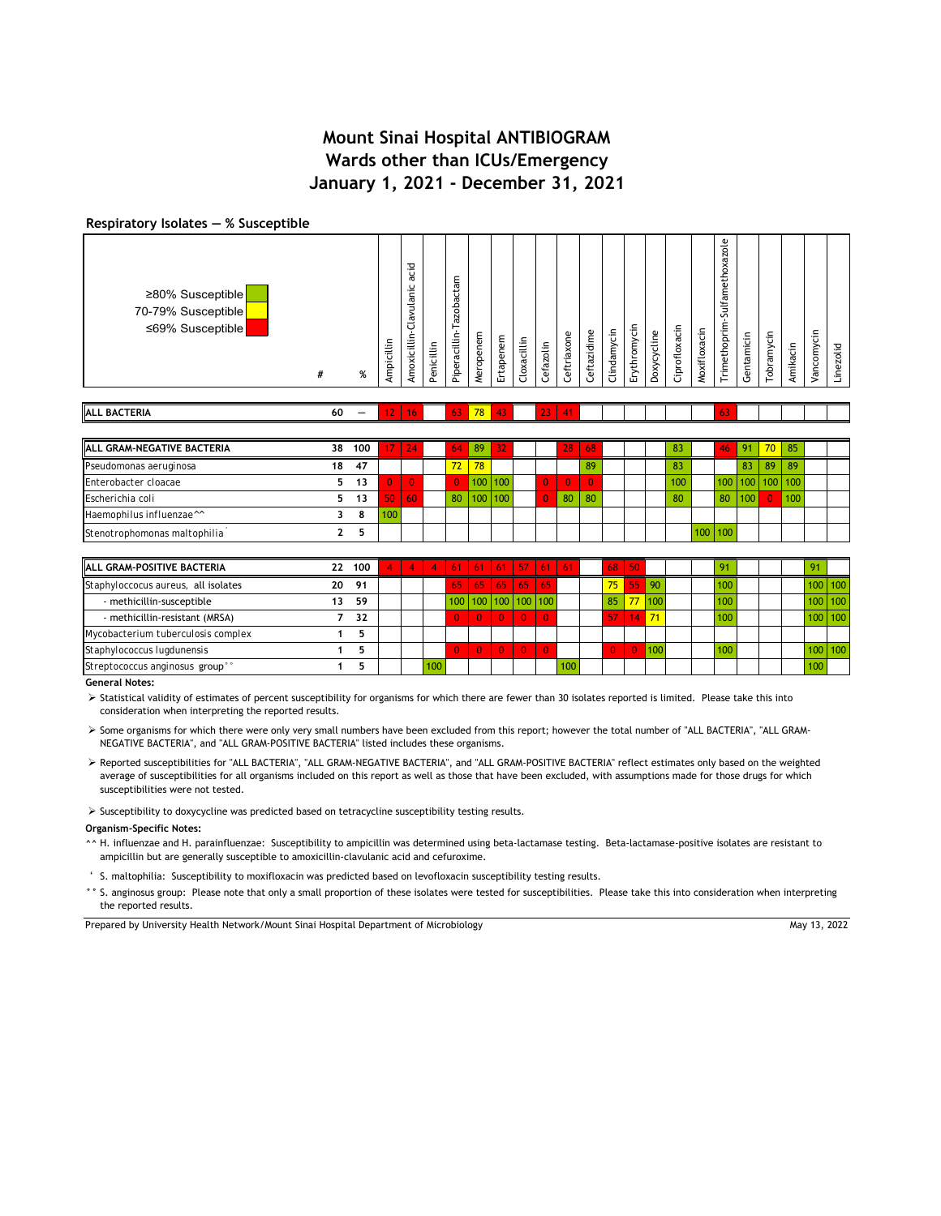#### **Respiratory Isolates ― % Susceptible**

| ≥80% Susceptible  <br>70-79% Susceptible<br>≤69% Susceptible | #  | % | Ampicillin | acid<br>lavulanic<br>ں<br>Amoxicillin | Penicillin | azobactam<br>⊢<br>Piperacillin- | Meropenem | rtapenem<br>ш | Cloxacillin | Cefazolin | Ceftriaxone | Ceftazidime | lindamycin<br>$\cup$ | ⊇.<br>thromyc<br>≥<br>ш | cline<br>ਨੇ<br>Doxy | Ciprofloxacin | Moxifloxacin | $z$ ole<br>œ<br>etho<br>Sulfame<br>Trimethoprim | entamicin<br>رت | <b>Tobramycin</b> | Amikacin | .드<br>Vancomyc | Linezolid |
|--------------------------------------------------------------|----|---|------------|---------------------------------------|------------|---------------------------------|-----------|---------------|-------------|-----------|-------------|-------------|----------------------|-------------------------|---------------------|---------------|--------------|-------------------------------------------------|-----------------|-------------------|----------|----------------|-----------|
| <b>ALL BACTERIA</b>                                          | 60 | – | 12.        | 16                                    |            | 63                              | 78        | 43            |             | 23        | 41          |             |                      |                         |                     |               |              |                                                 |                 |                   |          |                |           |

| <b>ALL GRAM-NEGATIVE BACTERIA</b>    | 38 | 100 |     | 24 | 64           | 89               | 32      |  | 28       | 68 |  | 83  |                  |    | 91  | 70 <sup>°</sup> | 85'                     |  |
|--------------------------------------|----|-----|-----|----|--------------|------------------|---------|--|----------|----|--|-----|------------------|----|-----|-----------------|-------------------------|--|
| Pseudomonas aeruginosa               | 18 | 47  |     |    | $72^{\circ}$ | 78               |         |  |          | 89 |  | 83  |                  |    | 83  | 89              | 89                      |  |
| Enterobacter cloacae                 |    | 13  |     |    |              |                  | 100 100 |  | $\Omega$ |    |  | 100 |                  |    |     |                 | $100$   100   100   100 |  |
| Escherichia coli                     |    |     | 50  | 60 | 80           | 100 <sub>1</sub> | 100     |  | 80       | 80 |  | 80  |                  | 80 | 100 |                 | 100                     |  |
| Haemophilus influenzae <sup>11</sup> |    |     | 100 |    |              |                  |         |  |          |    |  |     |                  |    |     |                 |                         |  |
| Stenotrophomonas maltophilia         |    |     |     |    |              |                  |         |  |          |    |  |     | 100 <sup>1</sup> |    |     |                 |                         |  |

| <b>ALL GRAM-POSITIVE BACTERIA</b>   | 22 | 100 |  |     |      | 61 61 61 57 61 61            |  |     |    |             |      |  |  |  |               |
|-------------------------------------|----|-----|--|-----|------|------------------------------|--|-----|----|-------------|------|--|--|--|---------------|
| Staphyloccocus aureus, all isolates | 20 | 91  |  |     | i65' | $65 \mid 65 \mid 65 \mid 65$ |  |     | 75 | <b>\55\</b> |      |  |  |  | 100   100     |
| - methicillin-susceptible           |    | 59  |  |     |      | 100 100 100 100 100          |  |     | 85 | 77          | 1100 |  |  |  | $100$   100   |
| - methicillin-resistant (MRSA)      |    | 32  |  |     |      |                              |  |     | 47 |             |      |  |  |  | $100$   $100$ |
| Mycobacterium tuberculosis complex  |    |     |  |     |      |                              |  |     |    |             |      |  |  |  |               |
| Staphylococcus lugdunensis          |    |     |  |     |      |                              |  |     |    |             | 100  |  |  |  | $100$   $100$ |
| Streptococcus anginosus group"      |    |     |  | 100 |      |                              |  | 100 |    |             |      |  |  |  |               |

**General Notes:**

> Statistical validity of estimates of percent susceptibility for organisms for which there are fewer than 30 isolates reported is limited. Please take this into consideration when interpreting the reported results.

 Some organisms for which there were only very small numbers have been excluded from this report; however the total number of "ALL BACTERIA", "ALL GRAM-NEGATIVE BACTERIA", and "ALL GRAM-POSITIVE BACTERIA" listed includes these organisms.

 Reported susceptibilities for "ALL BACTERIA", "ALL GRAM-NEGATIVE BACTERIA", and "ALL GRAM-POSITIVE BACTERIA" reflect estimates only based on the weighted average of susceptibilities for all organisms included on this report as well as those that have been excluded, with assumptions made for those drugs for which susceptibilities were not tested.

 $\triangleright$  Susceptibility to doxycycline was predicted based on tetracycline susceptibility testing results.

### **Organism-Specific Notes:**

**^^** H. influenzae and H. parainfluenzae: Susceptibility to ampicillin was determined using beta-lactamase testing. Beta-lactamase-positive isolates are resistant to ampicillin but are generally susceptible to amoxicillin-clavulanic acid and cefuroxime.

**'** S. maltophilia: Susceptibility to moxifloxacin was predicted based on levofloxacin susceptibility testing results.

° S. anginosus group: Please note that only a small proportion of these isolates were tested for susceptibilities. Please take this into consideration when interpreting the reported results.

Prepared by University Health Network/Mount Sinai Hospital Department of Microbiology

May 13, 2022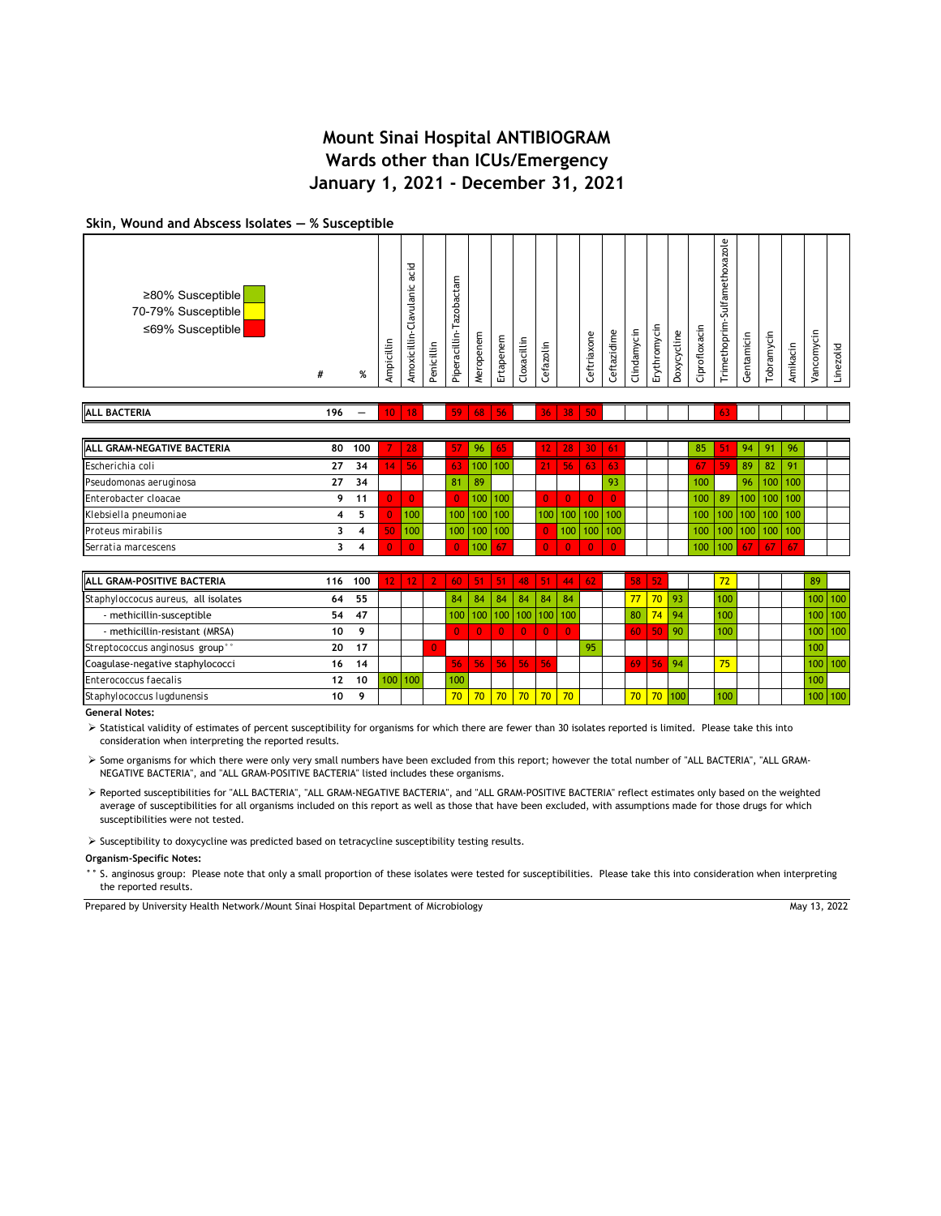## **Skin, Wound and Abscess Isolates ― % Susceptible**

| <b>ALL BACTERIA</b>                                        | 196 | — | 10 <sup>°</sup> | 18                                    |            | 59                                        | 68                | 56            |             | 36            | 38 | 50              |            |                 |              |             |               | 63                                                  |                |            |          |           |           |
|------------------------------------------------------------|-----|---|-----------------|---------------------------------------|------------|-------------------------------------------|-------------------|---------------|-------------|---------------|----|-----------------|------------|-----------------|--------------|-------------|---------------|-----------------------------------------------------|----------------|------------|----------|-----------|-----------|
| ≥80% Susceptible<br>70-79% Susceptible<br>≤69% Susceptible | #   | % | Ampicillin      | acid<br>lavulanic<br>ں<br>Amoxicillin | Penicillin | Έ<br>đ<br>azob<br>⊢<br>acillin-<br>Pipera | ε<br>eropene<br>ż | rtapenem<br>靣 | Cloxacillin | efazolin<br>ں |    | eftriaxone<br>ں | eftazidime | lindamycin<br>ں | Erythromycin | Doxycycline | Ciprofloxacin | ole<br>xazı<br>etho:<br>lfam<br>ಸ<br>Ë<br>Trimethop | entamicin<br>ت | Tobramycin | Amikacin | ancomycin | Linezolid |

| <b>IALL GRAM-NEGATIVE BACTERIA</b> | 80 | 100 |                 | 28           | 57             | 96                | 65      | 12           | 28 <sup>1</sup> | 30 <sub>1</sub>   | l 61   |  | 85  | 51      | 94                            | 91 | 96          |  |
|------------------------------------|----|-----|-----------------|--------------|----------------|-------------------|---------|--------------|-----------------|-------------------|--------|--|-----|---------|-------------------------------|----|-------------|--|
| Escherichia coli                   | 27 | 34  | 14 <sup>1</sup> | 56           | 63             | 100 100           |         | 21           | 56              | -63               | VI 63' |  | 67  | 59      | 89                            | 82 | 91          |  |
| Pseudomonas aeruginosa             | 27 | 34  |                 |              | 81             | -89               |         |              |                 |                   | 93     |  | 100 |         | 96 <sub>h</sub>               |    | $100$   100 |  |
| Enterobacter cloacae               |    | 11  | $\mathbf{0}$    | $\mathbf{0}$ | $\overline{0}$ |                   | 100 100 | o l          | $\overline{0}$  | $\overline{0}$    | - 0    |  | 100 | 89      | 100   100   100               |    |             |  |
| Klebsiella pneumoniae              |    |     | 0               | 100          |                | $100$   100   100 |         |              | 100 100 100 100 |                   |        |  |     |         | 100   100   100   100   100   |    |             |  |
| Proteus mirabilis                  |    |     | 50              | 100          |                | $100$   100   100 |         | $\mathbf{0}$ |                 | $100$   100   100 |        |  |     |         | $100$   100   100   100   100 |    |             |  |
| Serratia marcescens                |    |     |                 | $\Omega$     | $\overline{0}$ | 100               | 67      |              | $\overline{0}$  | $\overline{0}$    |        |  |     | 100 100 | 67 <sup>1</sup>               | 67 | 67          |  |

| <b>ALL GRAM-POSITIVE BACTERIA</b>   | 116 | 100 |                  |     |                |     |    |                    |              |              | $12$   12   2   60   51   51   48   51   44   62 |    | 58              | 52        |         | 72  |  | 89      |             |
|-------------------------------------|-----|-----|------------------|-----|----------------|-----|----|--------------------|--------------|--------------|--------------------------------------------------|----|-----------------|-----------|---------|-----|--|---------|-------------|
| Staphyloccocus aureus, all isolates | 64  | 55  |                  |     |                | 84  | 84 | 84                 | 84           | 84           | 84                                               |    | 77 <sub>1</sub> |           | 70 93   | 100 |  |         | $100$   100 |
| - methicillin-susceptible           | 54  | 47  |                  |     |                |     |    |                    |              |              | 100   100   100   100   100   100                |    | 80              |           | $74$ 94 | 100 |  | 100 100 |             |
| - methicillin-resistant (MRSA)      | 10  | ٩   |                  |     |                |     |    |                    | $\mathbf{0}$ | $\mathbf{0}$ | $\Omega$                                         |    | 60              | 50        | -90     | 100 |  |         | $100$ 100   |
| Streptococcus anginosus group°°     | 20  | 17  |                  |     | $\overline{0}$ |     |    |                    |              |              |                                                  | 95 |                 |           |         |     |  | 100     |             |
| Coagulase-negative staphylococci    | 16  | 14  |                  |     |                | 56  |    | $56$   56   56     |              | -56          |                                                  |    | 69              | 56        | 94      | 75  |  | 100 100 |             |
| Enterococcus faecalis               | 12  | 10  | 100 <sub>h</sub> | 100 |                | 100 |    |                    |              |              |                                                  |    |                 |           |         |     |  | 100     |             |
| Staphylococcus Iugdunensis          | 10  | ۰Q  |                  |     |                | 70  | 70 | <u>  70   70  </u> |              | $70^{\circ}$ | 70                                               |    |                 | 70 70 100 |         | 100 |  |         | $100$   100 |

**General Notes:**

> Statistical validity of estimates of percent susceptibility for organisms for which there are fewer than 30 isolates reported is limited. Please take this into consideration when interpreting the reported results.

 Some organisms for which there were only very small numbers have been excluded from this report; however the total number of "ALL BACTERIA", "ALL GRAM-NEGATIVE BACTERIA", and "ALL GRAM-POSITIVE BACTERIA" listed includes these organisms.

 Reported susceptibilities for "ALL BACTERIA", "ALL GRAM-NEGATIVE BACTERIA", and "ALL GRAM-POSITIVE BACTERIA" reflect estimates only based on the weighted average of susceptibilities for all organisms included on this report as well as those that have been excluded, with assumptions made for those drugs for which susceptibilities were not tested.

 $\triangleright$  Susceptibility to doxycycline was predicted based on tetracycline susceptibility testing results.

**Organism-Specific Notes:**

**°°** S. anginosus group: Please note that only a small proportion of these isolates were tested for susceptibilities. Please take this into consideration when interpreting the reported results.

Prepared by University Health Network/Mount Sinai Hospital Department of Microbiology

May 13, 2022